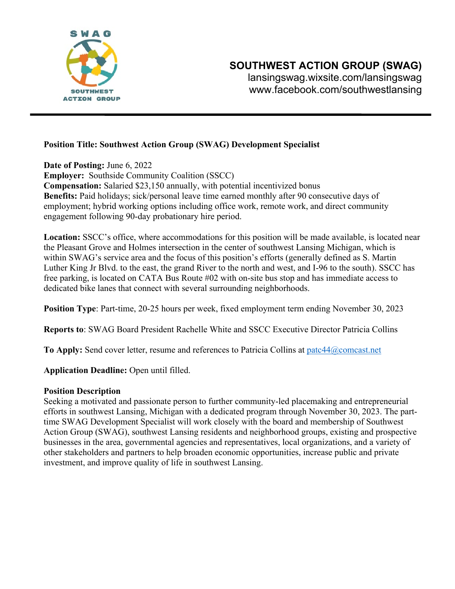

# **SOUTHWEST ACTION GROUP (SWAG)**

lansingswag.wixsite.com/lansingswag www.facebook.com/southwestlansing

# **Position Title: Southwest Action Group (SWAG) Development Specialist**

**Date of Posting:** June 6, 2022 **Employer:** Southside Community Coalition (SSCC) **Compensation:** Salaried \$23,150 annually, with potential incentivized bonus **Benefits:** Paid holidays; sick/personal leave time earned monthly after 90 consecutive days of employment; hybrid working options including office work, remote work, and direct community engagement following 90-day probationary hire period.

**Location:** SSCC's office, where accommodations for this position will be made available, is located near the Pleasant Grove and Holmes intersection in the center of southwest Lansing Michigan, which is within SWAG's service area and the focus of this position's efforts (generally defined as S. Martin Luther King Jr Blvd. to the east, the grand River to the north and west, and I-96 to the south). SSCC has free parking, is located on CATA Bus Route #02 with on-site bus stop and has immediate access to dedicated bike lanes that connect with several surrounding neighborhoods.

**Position Type**: Part-time, 20-25 hours per week, fixed employment term ending November 30, 2023

**Reports to**: SWAG Board President Rachelle White and SSCC Executive Director Patricia Collins

**To Apply:** Send cover letter, resume and references to Patricia Collins at patc44@comcast.net

**Application Deadline:** Open until filled.

#### **Position Description**

Seeking a motivated and passionate person to further community-led placemaking and entrepreneurial efforts in southwest Lansing, Michigan with a dedicated program through November 30, 2023. The parttime SWAG Development Specialist will work closely with the board and membership of Southwest Action Group (SWAG), southwest Lansing residents and neighborhood groups, existing and prospective businesses in the area, governmental agencies and representatives, local organizations, and a variety of other stakeholders and partners to help broaden economic opportunities, increase public and private investment, and improve quality of life in southwest Lansing.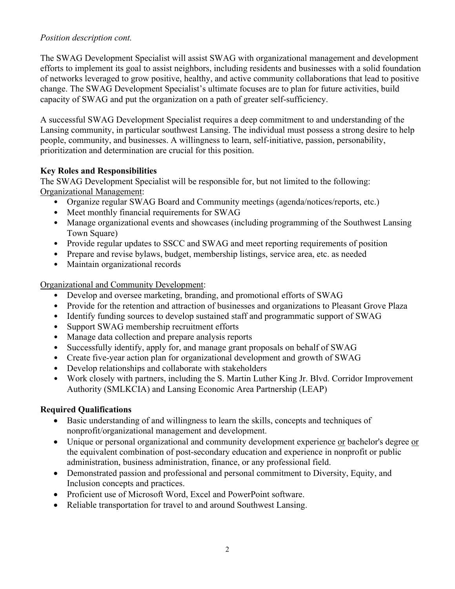# *Position description cont.*

The SWAG Development Specialist will assist SWAG with organizational management and development efforts to implement its goal to assist neighbors, including residents and businesses with a solid foundation of networks leveraged to grow positive, healthy, and active community collaborations that lead to positive change. The SWAG Development Specialist's ultimate focuses are to plan for future activities, build capacity of SWAG and put the organization on a path of greater self-sufficiency.

A successful SWAG Development Specialist requires a deep commitment to and understanding of the Lansing community, in particular southwest Lansing. The individual must possess a strong desire to help people, community, and businesses. A willingness to learn, self-initiative, passion, personability, prioritization and determination are crucial for this position.

#### **Key Roles and Responsibilities**

The SWAG Development Specialist will be responsible for, but not limited to the following: Organizational Management:

- Organize regular SWAG Board and Community meetings (agenda/notices/reports, etc.)
- Meet monthly financial requirements for SWAG
- Manage organizational events and showcases (including programming of the Southwest Lansing Town Square)
- Provide regular updates to SSCC and SWAG and meet reporting requirements of position
- Prepare and revise bylaws, budget, membership listings, service area, etc. as needed
- Maintain organizational records

Organizational and Community Development:

- Develop and oversee marketing, branding, and promotional efforts of SWAG
- Provide for the retention and attraction of businesses and organizations to Pleasant Grove Plaza
- Identify funding sources to develop sustained staff and programmatic support of SWAG
- Support SWAG membership recruitment efforts
- Manage data collection and prepare analysis reports
- Successfully identify, apply for, and manage grant proposals on behalf of SWAG
- Create five-year action plan for organizational development and growth of SWAG
- Develop relationships and collaborate with stakeholders
- Work closely with partners, including the S. Martin Luther King Jr. Blvd. Corridor Improvement Authority (SMLKCIA) and Lansing Economic Area Partnership (LEAP)

#### **Required Qualifications**

- Basic understanding of and willingness to learn the skills, concepts and techniques of nonprofit/organizational management and development.
- Unique or personal organizational and community development experience or bachelor's degree or the equivalent combination of post-secondary education and experience in nonprofit or public administration, business administration, finance, or any professional field.
- Demonstrated passion and professional and personal commitment to Diversity, Equity, and Inclusion concepts and practices.
- Proficient use of Microsoft Word, Excel and PowerPoint software.
- Reliable transportation for travel to and around Southwest Lansing.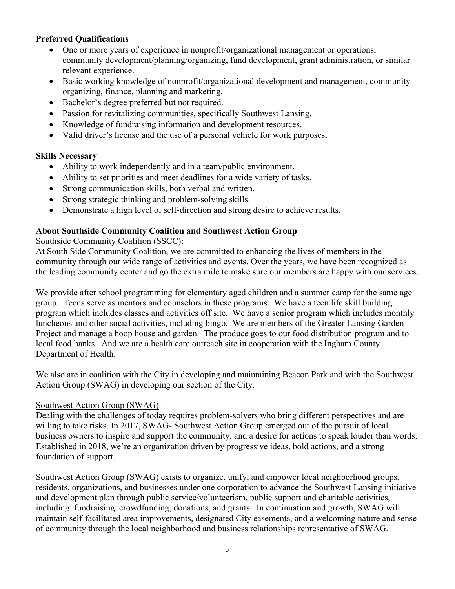## **Preferred Qualifications**

- One or more years of experience in nonprofit/organizational management or operations, community development/planning/organizing, fund development, grant administration, or similar relevant experience.
- Basic working knowledge of nonprofit/organizational development and management, community organizing, finance, planning and marketing.
- Bachelor's degree preferred but not required.
- Passion for revitalizing communities, specifically Southwest Lansing.
- Knowledge of fundraising information and development resources.
- Valid driver's license and the use of a personal vehicle for work purposes**.**

# **Skills Necessary**

- Ability to work independently and in a team/public environment.
- Ability to set priorities and meet deadlines for a wide variety of tasks.
- Strong communication skills, both verbal and written.
- Strong strategic thinking and problem-solving skills.
- Demonstrate a high level of self-direction and strong desire to achieve results.

# **About Southside Community Coalition and Southwest Action Group**

Southside Community Coalition (SSCC):

At South Side Community Coalition, we are committed to enhancing the lives of members in the community through our wide range of activities and events. Over the years, we have been recognized as the leading community center and go the extra mile to make sure our members are happy with our services.

We provide after school programming for elementary aged children and a summer camp for the same age group. Teens serve as mentors and counselors in these programs. We have a teen life skill building program which includes classes and activities off site. We have a senior program which includes monthly luncheons and other social activities, including bingo. We are members of the Greater Lansing Garden Project and manage a hoop house and garden. The produce goes to our food distribution program and to local food banks. And we are a health care outreach site in cooperation with the Ingham County Department of Health.

We also are in coalition with the City in developing and maintaining Beacon Park and with the Southwest Action Group (SWAG) in developing our section of the City.

#### Southwest Action Group (SWAG):

Dealing with the challenges of today requires problem-solvers who bring different perspectives and are willing to take risks. In 2017, SWAG- Southwest Action Group emerged out of the pursuit of local business owners to inspire and support the community, and a desire for actions to speak louder than words. Established in 2018, we're an organization driven by progressive ideas, bold actions, and a strong foundation of support.

Southwest Action Group (SWAG) exists to organize, unify, and empower local neighborhood groups, residents, organizations, and businesses under one corporation to advance the Southwest Lansing initiative and development plan through public service/volunteerism, public support and charitable activities, including: fundraising, crowdfunding, donations, and grants. In continuation and growth, SWAG will maintain self-facilitated area improvements, designated City easements, and a welcoming nature and sense of community through the local neighborhood and business relationships representative of SWAG.